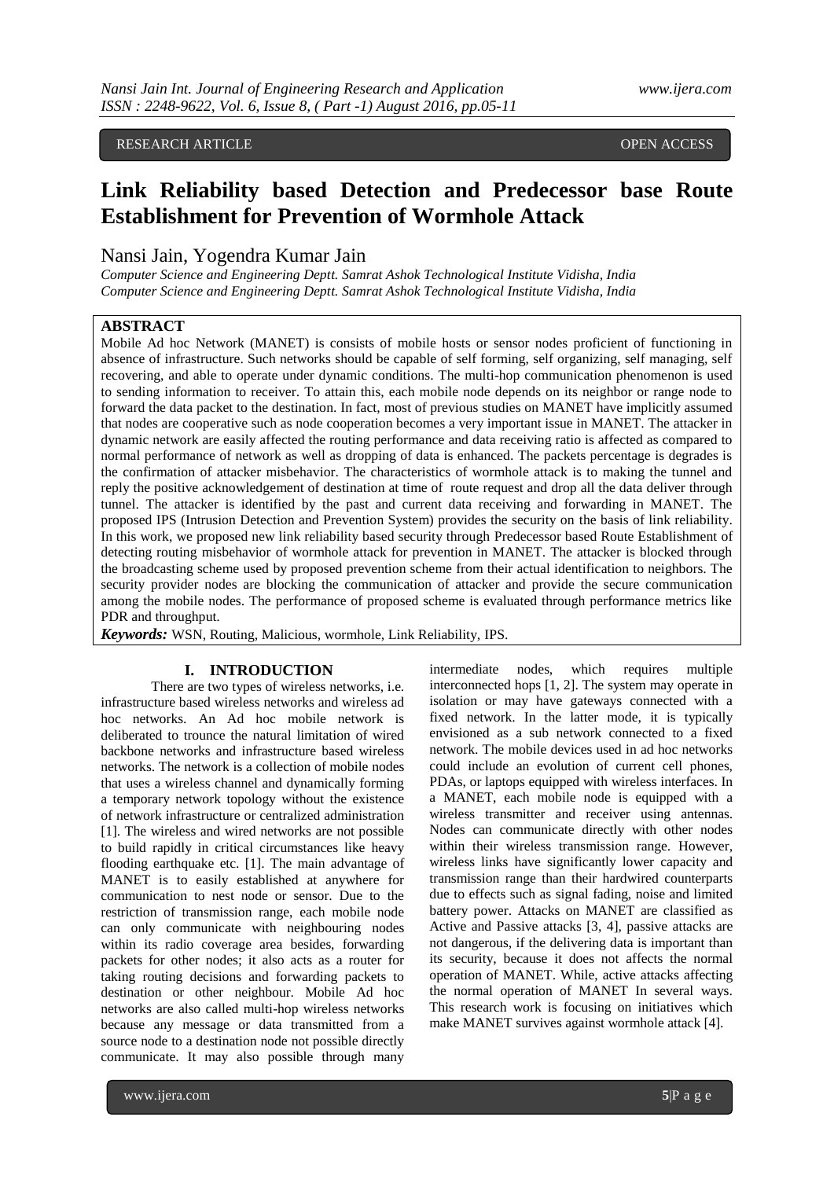RESEARCH ARTICLE **CONSERVERS** OPEN ACCESS **OPEN ACCESS** 

# **Link Reliability based Detection and Predecessor base Route Establishment for Prevention of Wormhole Attack**

# Nansi Jain, Yogendra Kumar Jain

*Computer Science and Engineering Deptt. Samrat Ashok Technological Institute Vidisha, India Computer Science and Engineering Deptt. Samrat Ashok Technological Institute Vidisha, India*

# **ABSTRACT**

Mobile Ad hoc Network (MANET) is consists of mobile hosts or sensor nodes proficient of functioning in absence of infrastructure. Such networks should be capable of self forming, self organizing, self managing, self recovering, and able to operate under dynamic conditions. The multi-hop communication phenomenon is used to sending information to receiver. To attain this, each mobile node depends on its neighbor or range node to forward the data packet to the destination. In fact, most of previous studies on MANET have implicitly assumed that nodes are cooperative such as node cooperation becomes a very important issue in MANET. The attacker in dynamic network are easily affected the routing performance and data receiving ratio is affected as compared to normal performance of network as well as dropping of data is enhanced. The packets percentage is degrades is the confirmation of attacker misbehavior. The characteristics of wormhole attack is to making the tunnel and reply the positive acknowledgement of destination at time of route request and drop all the data deliver through tunnel. The attacker is identified by the past and current data receiving and forwarding in MANET. The proposed IPS (Intrusion Detection and Prevention System) provides the security on the basis of link reliability. In this work, we proposed new link reliability based security through Predecessor based Route Establishment of detecting routing misbehavior of wormhole attack for prevention in MANET. The attacker is blocked through the broadcasting scheme used by proposed prevention scheme from their actual identification to neighbors. The security provider nodes are blocking the communication of attacker and provide the secure communication among the mobile nodes. The performance of proposed scheme is evaluated through performance metrics like PDR and throughput.

*Keywords:* WSN, Routing, Malicious, wormhole, Link Reliability, IPS.

## **I. INTRODUCTION**

There are two types of wireless networks, i.e. infrastructure based wireless networks and wireless ad hoc networks. An Ad hoc mobile network is deliberated to trounce the natural limitation of wired backbone networks and infrastructure based wireless networks. The network is a collection of mobile nodes that uses a wireless channel and dynamically forming a temporary network topology without the existence of network infrastructure or centralized administration [1]. The wireless and wired networks are not possible to build rapidly in critical circumstances like heavy flooding earthquake etc. [1]. The main advantage of MANET is to easily established at anywhere for communication to nest node or sensor. Due to the restriction of transmission range, each mobile node can only communicate with neighbouring nodes within its radio coverage area besides, forwarding packets for other nodes; it also acts as a router for taking routing decisions and forwarding packets to destination or other neighbour. Mobile Ad hoc networks are also called multi-hop wireless networks because any message or data transmitted from a source node to a destination node not possible directly communicate. It may also possible through many

interconnected hops [1, 2]. The system may operate in isolation or may have gateways connected with a fixed network. In the latter mode, it is typically envisioned as a sub network connected to a fixed network. The mobile devices used in ad hoc networks could include an evolution of current cell phones, PDAs, or laptops equipped with wireless interfaces. In a MANET, each mobile node is equipped with a wireless transmitter and receiver using antennas. Nodes can communicate directly with other nodes within their wireless transmission range. However, wireless links have significantly lower capacity and transmission range than their hardwired counterparts due to effects such as signal fading, noise and limited battery power. Attacks on MANET are classified as Active and Passive attacks [3, 4], passive attacks are not dangerous, if the delivering data is important than its security, because it does not affects the normal operation of MANET. While, active attacks affecting the normal operation of MANET In several ways. This research work is focusing on initiatives which make MANET survives against wormhole attack [4].

intermediate nodes, which requires multiple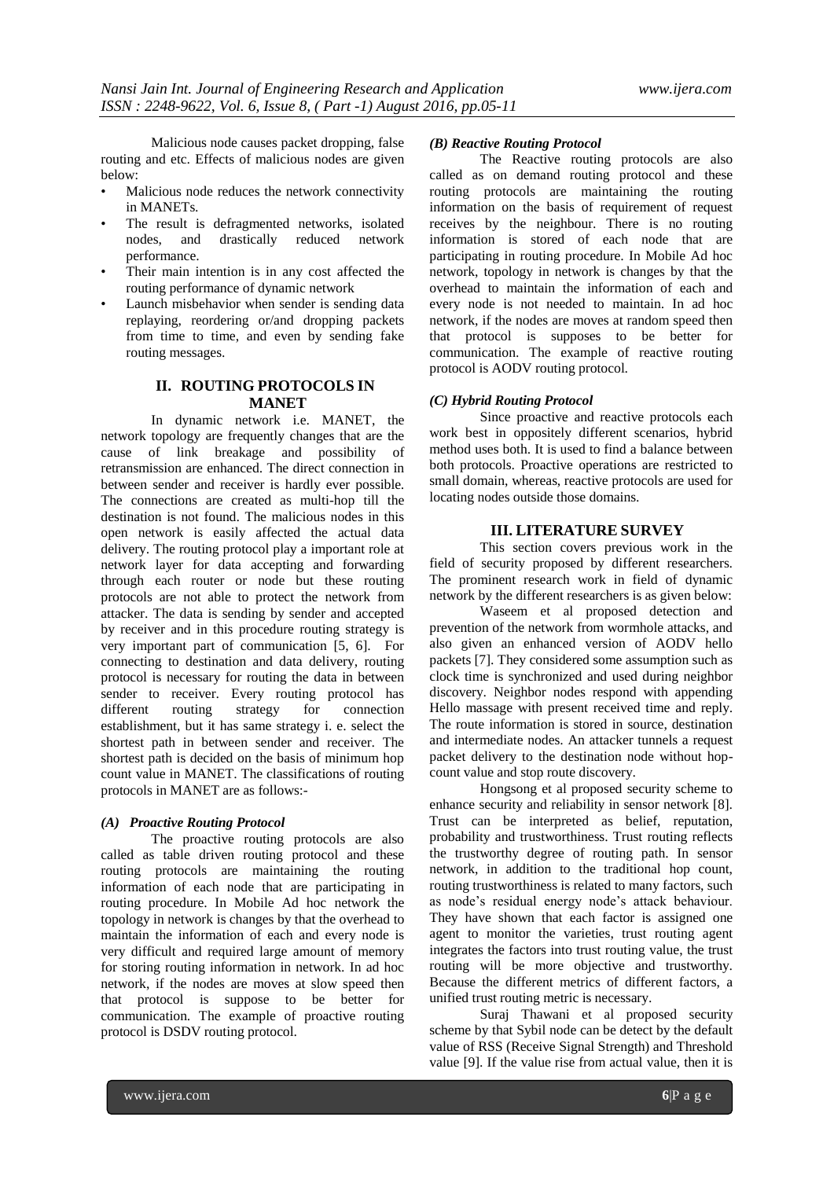Malicious node causes packet dropping, false routing and etc. Effects of malicious nodes are given below:

- Malicious node reduces the network connectivity in MANETs.
- The result is defragmented networks, isolated nodes, and drastically reduced network performance.
- Their main intention is in any cost affected the routing performance of dynamic network
- Launch misbehavior when sender is sending data replaying, reordering or/and dropping packets from time to time, and even by sending fake routing messages.

# **II. ROUTING PROTOCOLS IN MANET**

In dynamic network i.e. MANET, the network topology are frequently changes that are the cause of link breakage and possibility of retransmission are enhanced. The direct connection in between sender and receiver is hardly ever possible. The connections are created as multi-hop till the destination is not found. The malicious nodes in this open network is easily affected the actual data delivery. The routing protocol play a important role at network layer for data accepting and forwarding through each router or node but these routing protocols are not able to protect the network from attacker. The data is sending by sender and accepted by receiver and in this procedure routing strategy is very important part of communication [5, 6]. For connecting to destination and data delivery, routing protocol is necessary for routing the data in between sender to receiver. Every routing protocol has different routing strategy for connection establishment, but it has same strategy i. e. select the shortest path in between sender and receiver. The shortest path is decided on the basis of minimum hop count value in MANET. The classifications of routing protocols in MANET are as follows:-

#### *(A) Proactive Routing Protocol*

The proactive routing protocols are also called as table driven routing protocol and these routing protocols are maintaining the routing information of each node that are participating in routing procedure. In Mobile Ad hoc network the topology in network is changes by that the overhead to maintain the information of each and every node is very difficult and required large amount of memory for storing routing information in network. In ad hoc network, if the nodes are moves at slow speed then that protocol is suppose to be better for communication. The example of proactive routing protocol is DSDV routing protocol.

#### *(B) Reactive Routing Protocol*

The Reactive routing protocols are also called as on demand routing protocol and these routing protocols are maintaining the routing information on the basis of requirement of request receives by the neighbour. There is no routing information is stored of each node that are participating in routing procedure. In Mobile Ad hoc network, topology in network is changes by that the overhead to maintain the information of each and every node is not needed to maintain. In ad hoc network, if the nodes are moves at random speed then that protocol is supposes to be better for communication. The example of reactive routing protocol is AODV routing protocol.

## *(C) Hybrid Routing Protocol*

Since proactive and reactive protocols each work best in oppositely different scenarios, hybrid method uses both. It is used to find a balance between both protocols. Proactive operations are restricted to small domain, whereas, reactive protocols are used for locating nodes outside those domains.

## **III. LITERATURE SURVEY**

This section covers previous work in the field of security proposed by different researchers. The prominent research work in field of dynamic network by the different researchers is as given below:

Waseem et al proposed detection and prevention of the network from wormhole attacks, and also given an enhanced version of AODV hello packets [7]. They considered some assumption such as clock time is synchronized and used during neighbor discovery. Neighbor nodes respond with appending Hello massage with present received time and reply. The route information is stored in source, destination and intermediate nodes. An attacker tunnels a request packet delivery to the destination node without hopcount value and stop route discovery.

Hongsong et al proposed security scheme to enhance security and reliability in sensor network [8]. Trust can be interpreted as belief, reputation, probability and trustworthiness. Trust routing reflects the trustworthy degree of routing path. In sensor network, in addition to the traditional hop count, routing trustworthiness is related to many factors, such as node's residual energy node's attack behaviour. They have shown that each factor is assigned one agent to monitor the varieties, trust routing agent integrates the factors into trust routing value, the trust routing will be more objective and trustworthy. Because the different metrics of different factors, a unified trust routing metric is necessary.

Suraj Thawani et al proposed security scheme by that Sybil node can be detect by the default value of RSS (Receive Signal Strength) and Threshold value [9]. If the value rise from actual value, then it is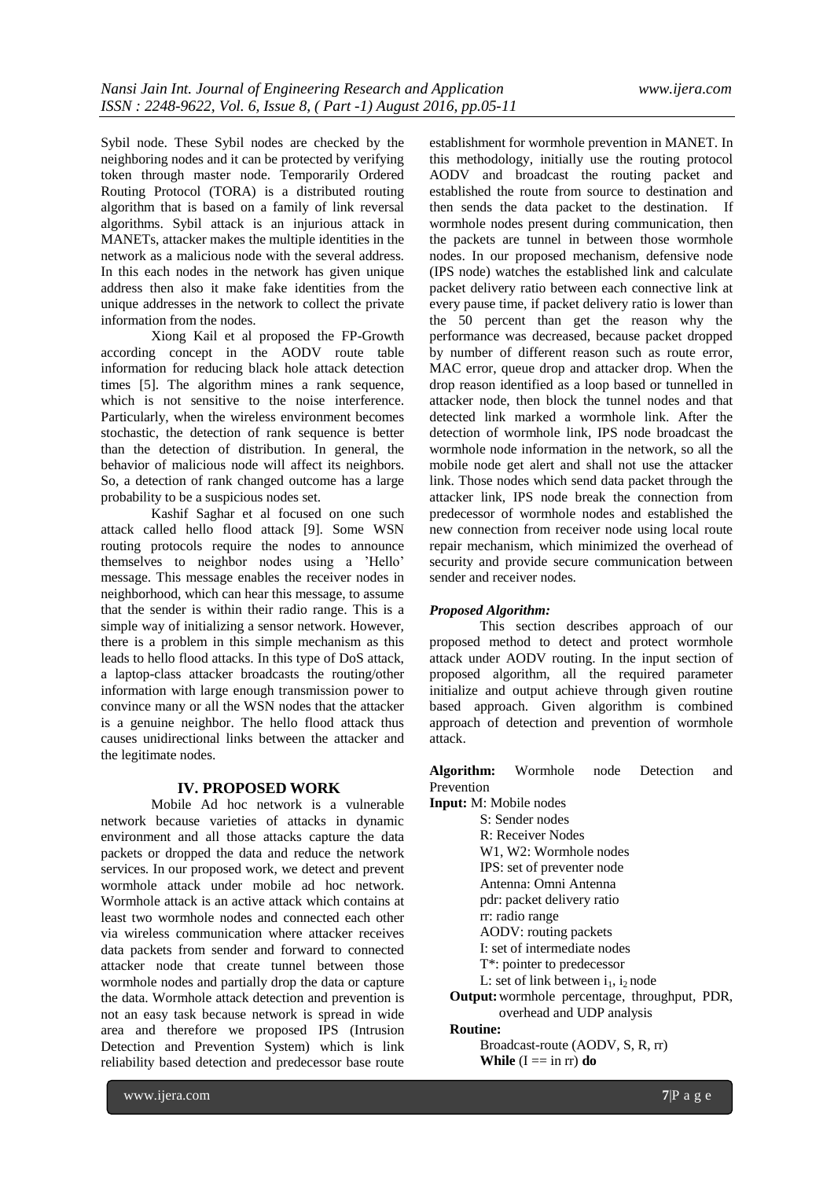Sybil node. These Sybil nodes are checked by the neighboring nodes and it can be protected by verifying token through master node. Temporarily Ordered Routing Protocol (TORA) is a distributed routing algorithm that is based on a family of link reversal algorithms. Sybil attack is an injurious attack in MANETs, attacker makes the multiple identities in the network as a malicious node with the several address. In this each nodes in the network has given unique address then also it make fake identities from the unique addresses in the network to collect the private information from the nodes.

Xiong Kail et al proposed the FP-Growth according concept in the AODV route table information for reducing black hole attack detection times [5]. The algorithm mines a rank sequence, which is not sensitive to the noise interference. Particularly, when the wireless environment becomes stochastic, the detection of rank sequence is better than the detection of distribution. In general, the behavior of malicious node will affect its neighbors. So, a detection of rank changed outcome has a large probability to be a suspicious nodes set.

Kashif Saghar et al focused on one such attack called hello flood attack [9]. Some WSN routing protocols require the nodes to announce themselves to neighbor nodes using a 'Hello' message. This message enables the receiver nodes in neighborhood, which can hear this message, to assume that the sender is within their radio range. This is a simple way of initializing a sensor network. However, there is a problem in this simple mechanism as this leads to hello flood attacks. In this type of DoS attack, a laptop-class attacker broadcasts the routing/other information with large enough transmission power to convince many or all the WSN nodes that the attacker is a genuine neighbor. The hello flood attack thus causes unidirectional links between the attacker and the legitimate nodes.

## **IV. PROPOSED WORK**

Mobile Ad hoc network is a vulnerable network because varieties of attacks in dynamic environment and all those attacks capture the data packets or dropped the data and reduce the network services. In our proposed work, we detect and prevent wormhole attack under mobile ad hoc network. Wormhole attack is an active attack which contains at least two wormhole nodes and connected each other via wireless communication where attacker receives data packets from sender and forward to connected attacker node that create tunnel between those wormhole nodes and partially drop the data or capture the data. Wormhole attack detection and prevention is not an easy task because network is spread in wide area and therefore we proposed IPS (Intrusion Detection and Prevention System) which is link reliability based detection and predecessor base route

establishment for wormhole prevention in MANET. In this methodology, initially use the routing protocol AODV and broadcast the routing packet and established the route from source to destination and then sends the data packet to the destination. If wormhole nodes present during communication, then the packets are tunnel in between those wormhole nodes. In our proposed mechanism, defensive node (IPS node) watches the established link and calculate packet delivery ratio between each connective link at every pause time, if packet delivery ratio is lower than the 50 percent than get the reason why the performance was decreased, because packet dropped by number of different reason such as route error, MAC error, queue drop and attacker drop. When the drop reason identified as a loop based or tunnelled in attacker node, then block the tunnel nodes and that detected link marked a wormhole link. After the detection of wormhole link, IPS node broadcast the wormhole node information in the network, so all the mobile node get alert and shall not use the attacker link. Those nodes which send data packet through the attacker link, IPS node break the connection from predecessor of wormhole nodes and established the new connection from receiver node using local route repair mechanism, which minimized the overhead of security and provide secure communication between sender and receiver nodes.

### *Proposed Algorithm:*

This section describes approach of our proposed method to detect and protect wormhole attack under AODV routing. In the input section of proposed algorithm, all the required parameter initialize and output achieve through given routine based approach. Given algorithm is combined approach of detection and prevention of wormhole attack.

**Algorithm:** Wormhole node Detection and Prevention

**Input:** M: Mobile nodes S: Sender nodes R: Receiver Nodes W1, W2: Wormhole nodes IPS: set of preventer node Antenna: Omni Antenna pdr: packet delivery ratio rr: radio range AODV: routing packets I: set of intermediate nodes T\*: pointer to predecessor L: set of link between  $i_1$ ,  $i_2$  node **Output:**wormhole percentage, throughput, PDR, overhead and UDP analysis

# **Routine:**

Broadcast-route (AODV, S, R, rr) **While**  $(I == in *r*)$  **do**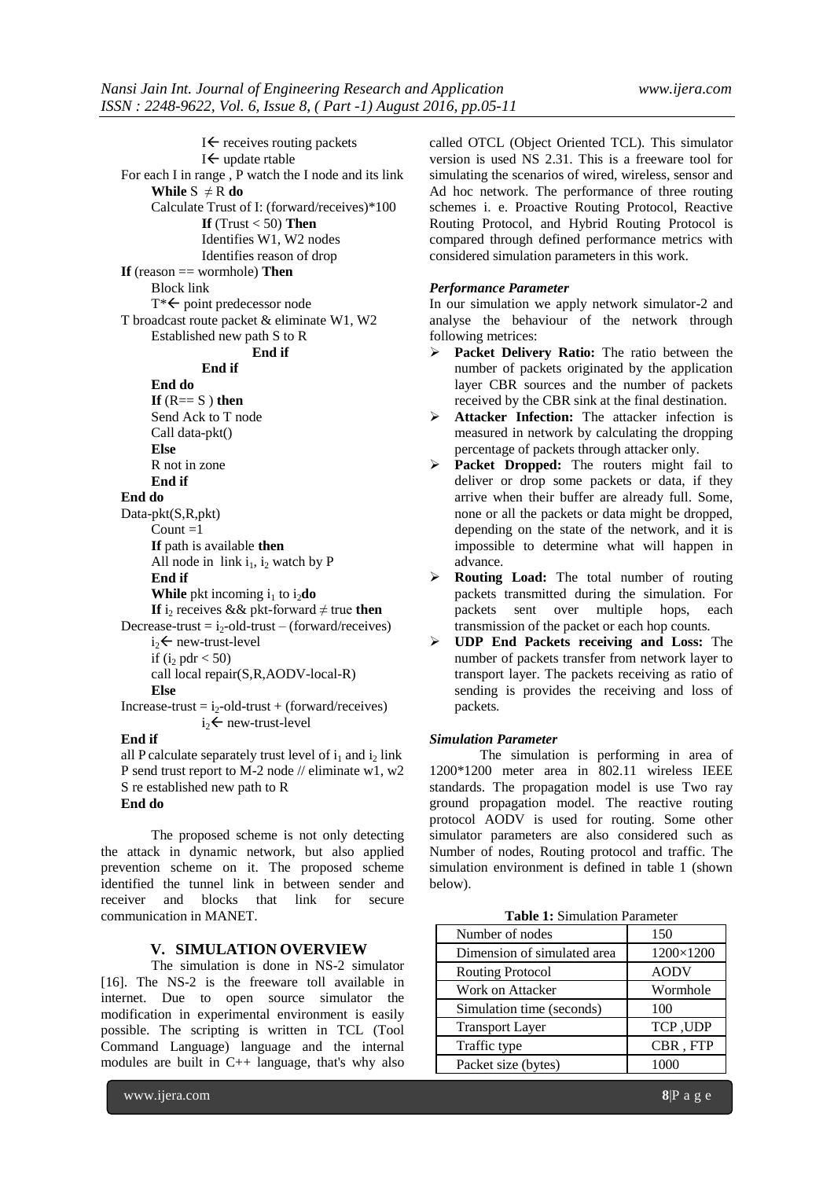$I \leftarrow$  receives routing packets  $I \leftarrow$  update rtable For each I in range , P watch the I node and its link **While**  $S \neq R$  **do** Calculate Trust of I: (forward/receives)\*100 **If** (Trust  $<$  50) **Then** Identifies W1, W2 nodes Identifies reason of drop **If** (reason == wormhole) **Then** Block link  $T^* \leftarrow$  point predecessor node T broadcast route packet & eliminate W1, W2 Established new path S to R **End if End if End do**  $If$  ( $R == S$ ) **then** Send Ack to T node Call data-pkt() **Else**  R not in zone **End if End do** Data-pkt(S,R,pkt) Count  $=1$ **If** path is available **then** All node in  $link i_1$ , i<sub>2</sub> watch by P **End if While** pkt incoming  $i_1$  to  $i_2$ **do If** i<sub>2</sub> receives && pkt-forward  $\neq$  true **then** Decrease-trust =  $i_2$ -old-trust – (forward/receives)  $i_{2}$  new-trust-level if (i<sub>2</sub> pdr  $<$  50) call local repair(S,R,AODV-local-R) **Else**   $Increase-trust = i<sub>2</sub>-old-trust + (forward/receives)$  $i_{2}$  new-trust-level

### **End if**

all P calculate separately trust level of  $i_1$  and  $i_2$  link P send trust report to M-2 node // eliminate w1, w2 S re established new path to R **End do**

The proposed scheme is not only detecting the attack in dynamic network, but also applied prevention scheme on it. The proposed scheme identified the tunnel link in between sender and receiver and blocks that link for secure communication in MANET.

# **V. SIMULATION OVERVIEW**

The simulation is done in NS-2 simulator [16]. The NS-2 is the freeware toll available in internet. Due to open source simulator the modification in experimental environment is easily possible. The scripting is written in TCL (Tool Command Language) language and the internal modules are built in C++ language, that's why also

called OTCL (Object Oriented TCL). This simulator version is used NS 2.31. This is a freeware tool for simulating the scenarios of wired, wireless, sensor and Ad hoc network. The performance of three routing schemes i. e. Proactive Routing Protocol, Reactive Routing Protocol, and Hybrid Routing Protocol is compared through defined performance metrics with considered simulation parameters in this work.

# *Performance Parameter*

In our simulation we apply network simulator-2 and analyse the behaviour of the network through following metrices:

- **Packet Delivery Ratio:** The ratio between the number of packets originated by the application layer CBR sources and the number of packets received by the CBR sink at the final destination.
- **Attacker Infection:** The attacker infection is measured in network by calculating the dropping percentage of packets through attacker only.
- **Packet Dropped:** The routers might fail to deliver or drop some packets or data, if they arrive when their buffer are already full. Some, none or all the packets or data might be dropped, depending on the state of the network, and it is impossible to determine what will happen in advance.
- **Routing Load:** The total number of routing packets transmitted during the simulation. For packets sent over multiple hops, each transmission of the packet or each hop counts.
- **UDP End Packets receiving and Loss:** The number of packets transfer from network layer to transport layer. The packets receiving as ratio of sending is provides the receiving and loss of packets.

### *Simulation Parameter*

The simulation is performing in area of 1200\*1200 meter area in 802.11 wireless IEEE standards. The propagation model is use Two ray ground propagation model. The reactive routing protocol AODV is used for routing. Some other simulator parameters are also considered such as Number of nodes, Routing protocol and traffic. The simulation environment is defined in table 1 (shown below).

|  | <b>Table 1:</b> Simulation Parameter |  |
|--|--------------------------------------|--|
|--|--------------------------------------|--|

| Number of nodes             | 150         |
|-----------------------------|-------------|
| Dimension of simulated area | 1200×1200   |
| <b>Routing Protocol</b>     | <b>AODV</b> |
| Work on Attacker            | Wormhole    |
| Simulation time (seconds)   | 100         |
| <b>Transport Layer</b>      | TCP, UDP    |
| Traffic type                | CBR, FTP    |
| Packet size (bytes)         |             |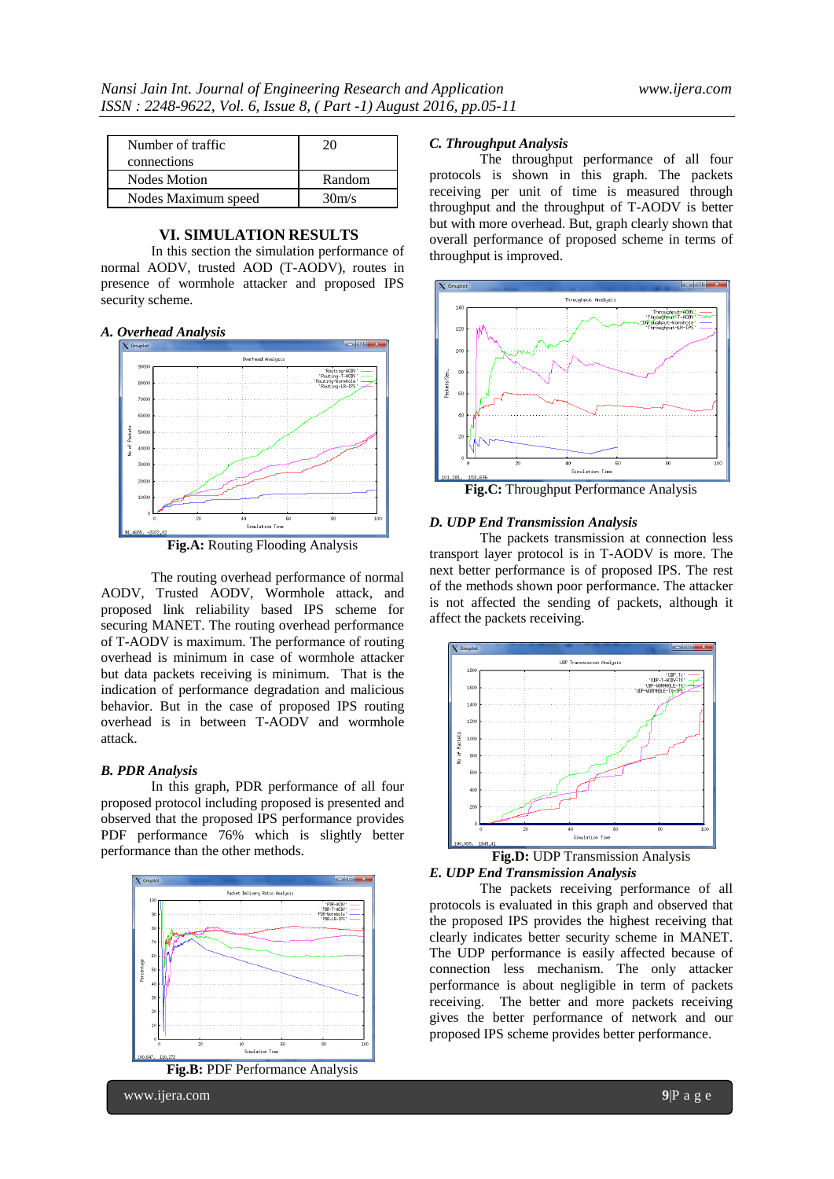| Number of traffic<br>connections | 20     |
|----------------------------------|--------|
| <b>Nodes Motion</b>              | Random |
| Nodes Maximum speed              | 30m/s  |

# **VI. SIMULATION RESULTS**

In this section the simulation performance of normal AODV, trusted AOD (T-AODV), routes in presence of wormhole attacker and proposed IPS security scheme.

#### *A. Overhead Analysis*



**Fig.A:** Routing Flooding Analysis

The routing overhead performance of normal AODV, Trusted AODV, Wormhole attack, and proposed link reliability based IPS scheme for securing MANET. The routing overhead performance of T-AODV is maximum. The performance of routing overhead is minimum in case of wormhole attacker but data packets receiving is minimum. That is the indication of performance degradation and malicious behavior. But in the case of proposed IPS routing overhead is in between T-AODV and wormhole attack.

#### *B. PDR Analysis*

In this graph, PDR performance of all four proposed protocol including proposed is presented and observed that the proposed IPS performance provides PDF performance 76% which is slightly better performance than the other methods.



#### *C. Throughput Analysis*

The throughput performance of all four protocols is shown in this graph. The packets receiving per unit of time is measured through throughput and the throughput of T-AODV is better but with more overhead. But, graph clearly shown that overall performance of proposed scheme in terms of throughput is improved.



#### *D. UDP End Transmission Analysis*

The packets transmission at connection less transport layer protocol is in T-AODV is more. The next better performance is of proposed IPS. The rest of the methods shown poor performance. The attacker is not affected the sending of packets, although it affect the packets receiving.



*E. UDP End Transmission Analysis*

The packets receiving performance of all protocols is evaluated in this graph and observed that the proposed IPS provides the highest receiving that clearly indicates better security scheme in MANET. The UDP performance is easily affected because of connection less mechanism. The only attacker performance is about negligible in term of packets receiving. The better and more packets receiving gives the better performance of network and our proposed IPS scheme provides better performance.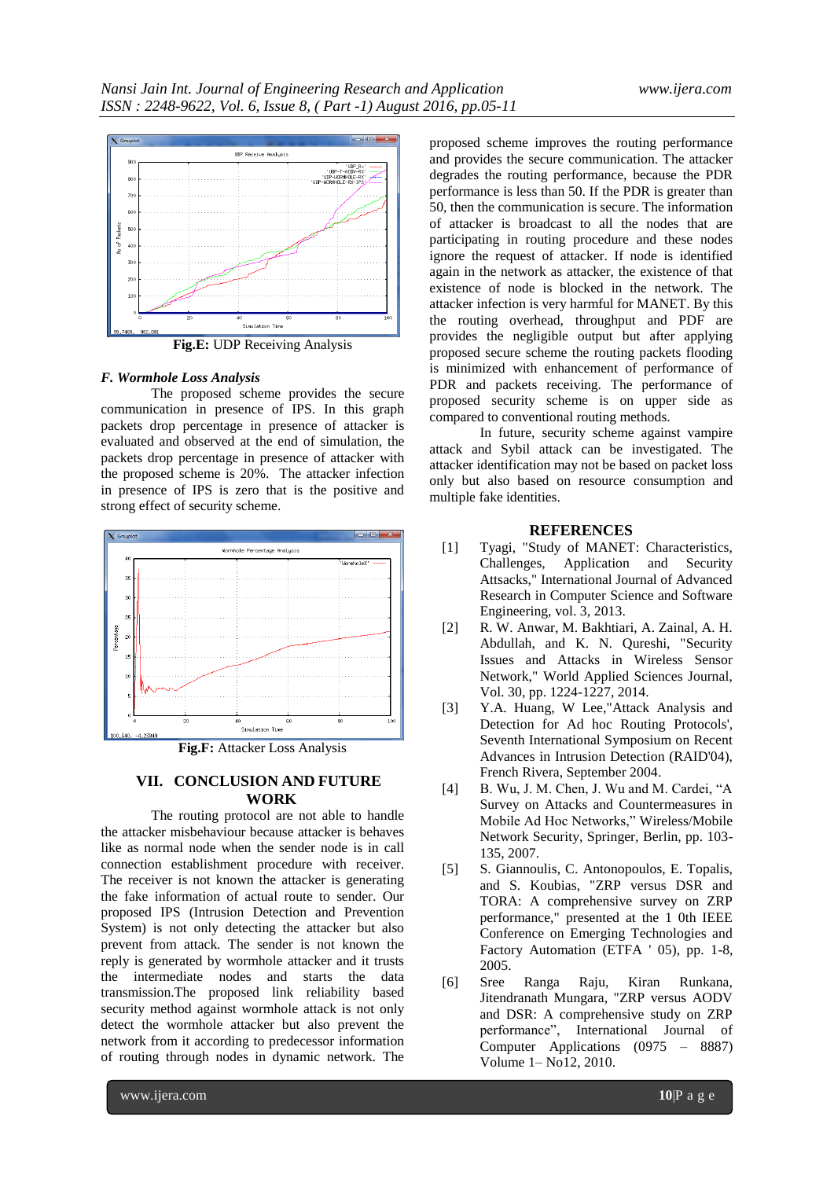

**Fig.E:** UDP Receiving Analysis

# *F. Wormhole Loss Analysis*

The proposed scheme provides the secure communication in presence of IPS. In this graph packets drop percentage in presence of attacker is evaluated and observed at the end of simulation, the packets drop percentage in presence of attacker with the proposed scheme is 20%. The attacker infection in presence of IPS is zero that is the positive and strong effect of security scheme.



**Fig.F:** Attacker Loss Analysis

# **VII. CONCLUSION AND FUTURE WORK**

The routing protocol are not able to handle the attacker misbehaviour because attacker is behaves like as normal node when the sender node is in call connection establishment procedure with receiver. The receiver is not known the attacker is generating the fake information of actual route to sender. Our proposed IPS (Intrusion Detection and Prevention System) is not only detecting the attacker but also prevent from attack. The sender is not known the reply is generated by wormhole attacker and it trusts the intermediate nodes and starts the data transmission.The proposed link reliability based security method against wormhole attack is not only detect the wormhole attacker but also prevent the network from it according to predecessor information of routing through nodes in dynamic network. The

proposed scheme improves the routing performance and provides the secure communication. The attacker degrades the routing performance, because the PDR performance is less than 50. If the PDR is greater than 50, then the communication is secure. The information of attacker is broadcast to all the nodes that are participating in routing procedure and these nodes ignore the request of attacker. If node is identified again in the network as attacker, the existence of that existence of node is blocked in the network. The attacker infection is very harmful for MANET. By this the routing overhead, throughput and PDF are provides the negligible output but after applying proposed secure scheme the routing packets flooding is minimized with enhancement of performance of PDR and packets receiving. The performance of proposed security scheme is on upper side as compared to conventional routing methods.

In future, security scheme against vampire attack and Sybil attack can be investigated. The attacker identification may not be based on packet loss only but also based on resource consumption and multiple fake identities.

## **REFERENCES**

- [1] Tyagi, "Study of MANET: Characteristics, Challenges, Application and Security Attsacks," International Journal of Advanced Research in Computer Science and Software Engineering, vol. 3, 2013.
- [2] R. W. Anwar, M. Bakhtiari, A. Zainal, A. H. Abdullah, and K. N. Qureshi, "Security Issues and Attacks in Wireless Sensor Network," World Applied Sciences Journal, Vol. 30, pp. 1224-1227, 2014.
- [3] Y.A. Huang, W Lee,"Attack Analysis and Detection for Ad hoc Routing Protocols', Seventh International Symposium on Recent Advances in Intrusion Detection (RAID'04), French Rivera, September 2004.
- [4] B. Wu, J. M. Chen, J. Wu and M. Cardei, "A Survey on Attacks and Countermeasures in Mobile Ad Hoc Networks," Wireless/Mobile Network Security, Springer, Berlin, pp. 103- 135, 2007.
- [5] S. Giannoulis, C. Antonopoulos, E. Topalis, and S. Koubias, "ZRP versus DSR and TORA: A comprehensive survey on ZRP performance," presented at the 1 0th IEEE Conference on Emerging Technologies and Factory Automation (ETFA ' 05), pp. 1-8, 2005.
- [6] Sree Ranga Raju, Kiran Runkana, Jitendranath Mungara, "ZRP versus AODV and DSR: A comprehensive study on ZRP performance", International Journal of Computer Applications (0975 – 8887) Volume 1– No12, 2010.